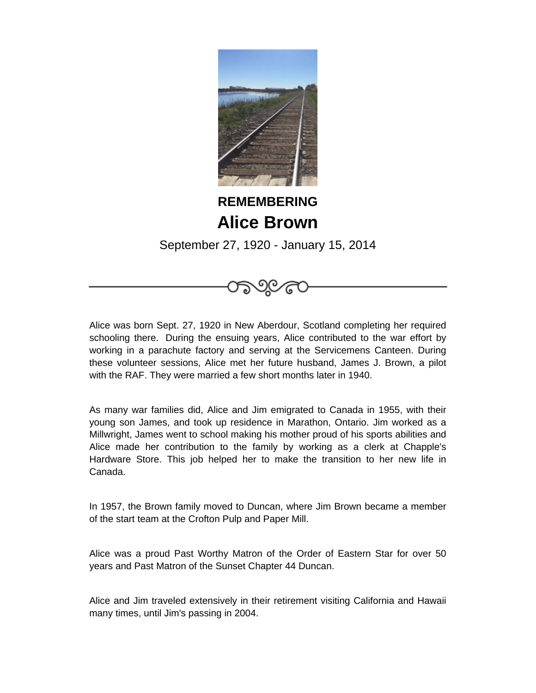

## **REMEMBERING Alice Brown**

September 27, 1920 - January 15, 2014

Alice was born Sept. 27, 1920 in New Aberdour, Scotland completing her required schooling there. During the ensuing years, Alice contributed to the war effort by working in a parachute factory and serving at the Servicemens Canteen. During these volunteer sessions, Alice met her future husband, James J. Brown, a pilot with the RAF. They were married a few short months later in 1940.

As many war families did, Alice and Jim emigrated to Canada in 1955, with their young son James, and took up residence in Marathon, Ontario. Jim worked as a Millwright, James went to school making his mother proud of his sports abilities and Alice made her contribution to the family by working as a clerk at Chapple's Hardware Store. This job helped her to make the transition to her new life in Canada.

In 1957, the Brown family moved to Duncan, where Jim Brown became a member of the start team at the Crofton Pulp and Paper Mill.

Alice was a proud Past Worthy Matron of the Order of Eastern Star for over 50 years and Past Matron of the Sunset Chapter 44 Duncan.

Alice and Jim traveled extensively in their retirement visiting California and Hawaii many times, until Jim's passing in 2004.